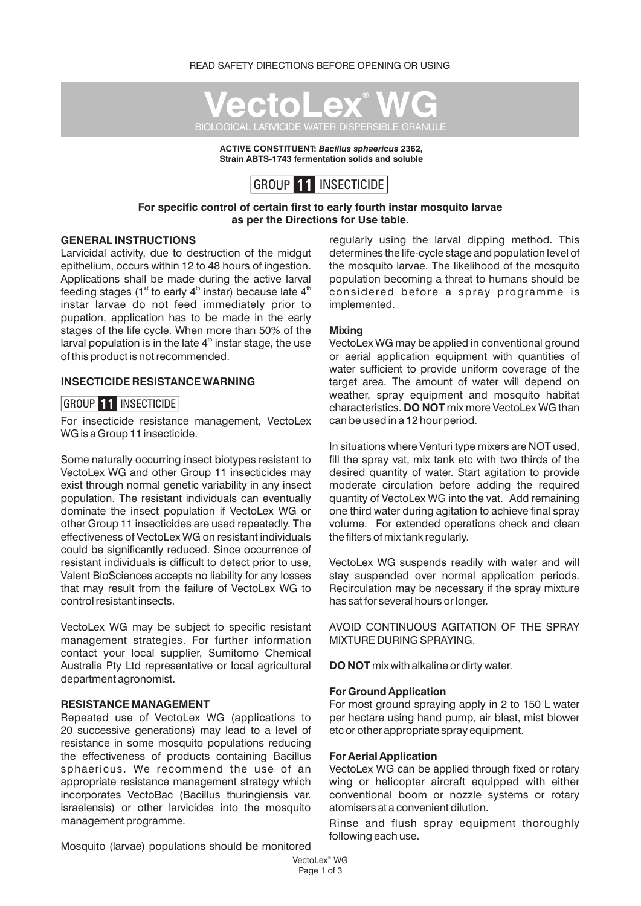

**ACTIVE CONSTITUENT:** *Bacillus sphaericus* **2362, Strain ABTS-1743 fermentation solids and soluble**



#### **For specific control of certain first to early fourth instar mosquito larvae as per the Directions for Use table.**

#### **GENERAL INSTRUCTIONS**

Larvicidal activity, due to destruction of the midgut epithelium, occurs within 12 to 48 hours of ingestion. Applications shall be made during the active larval feeding stages (1<sup>st</sup> to early 4<sup>th</sup> instar) because late  $4<sup>th</sup>$ instar larvae do not feed immediately prior to pupation, application has to be made in the early stages of the life cycle. When more than 50% of the larval population is in the late  $4<sup>th</sup>$  instar stage, the use of this product is not recommended.

#### **INSECTICIDE RESISTANCE WARNING**

#### GROUP **11** INSECTICIDE

For insecticide resistance management, VectoLex WG is a Group 11 insecticide.

Some naturally occurring insect biotypes resistant to VectoLex WG and other Group 11 insecticides may exist through normal genetic variability in any insect population. The resistant individuals can eventually dominate the insect population if VectoLex WG or other Group 11 insecticides are used repeatedly. The effectiveness of VectoLex WG on resistant individuals could be significantly reduced. Since occurrence of resistant individuals is difficult to detect prior to use, Valent BioSciences accepts no liability for any losses that may result from the failure of VectoLex WG to control resistant insects.

VectoLex WG may be subject to specific resistant management strategies. For further information contact your local supplier, Sumitomo Chemical Australia Pty Ltd representative or local agricultural department agronomist.

#### **RESISTANCE MANAGEMENT**

Repeated use of VectoLex WG (applications to 20 successive generations) may lead to a level of resistance in some mosquito populations reducing the effectiveness of products containing Bacillus sphaericus. We recommend the use of an appropriate resistance management strategy which incorporates VectoBac (Bacillus thuringiensis var. israelensis) or other larvicides into the mosquito management programme.

regularly using the larval dipping method. This determines the life-cycle stage and population level of the mosquito larvae. The likelihood of the mosquito population becoming a threat to humans should be considered before a spray programme is implemented.

#### **Mixing**

VectoLex WG may be applied in conventional ground or aerial application equipment with quantities of water sufficient to provide uniform coverage of the target area. The amount of water will depend on weather, spray equipment and mosquito habitat characteristics. **DO NOT** mix more VectoLex WG than can be used in a 12 hour period.

In situations where Venturi type mixers are NOT used, fill the spray vat, mix tank etc with two thirds of the desired quantity of water. Start agitation to provide moderate circulation before adding the required quantity of VectoLex WG into the vat. Add remaining one third water during agitation to achieve final spray volume. For extended operations check and clean the filters of mix tank regularly.

VectoLex WG suspends readily with water and will stay suspended over normal application periods. Recirculation may be necessary if the spray mixture has sat for several hours or longer.

AVOID CONTINUOUS AGITATION OF THE SPRAY MIXTURE DURING SPRAYING.

**DO NOT** mix with alkaline or dirty water.

#### **For Ground Application**

For most ground spraying apply in 2 to 150 L water per hectare using hand pump, air blast, mist blower etc or other appropriate spray equipment.

#### **For Aerial Application**

VectoLex WG can be applied through fixed or rotary wing or helicopter aircraft equipped with either conventional boom or nozzle systems or rotary atomisers at a convenient dilution.

Rinse and flush spray equipment thoroughly following each use.

Mosquito (larvae) populations should be monitored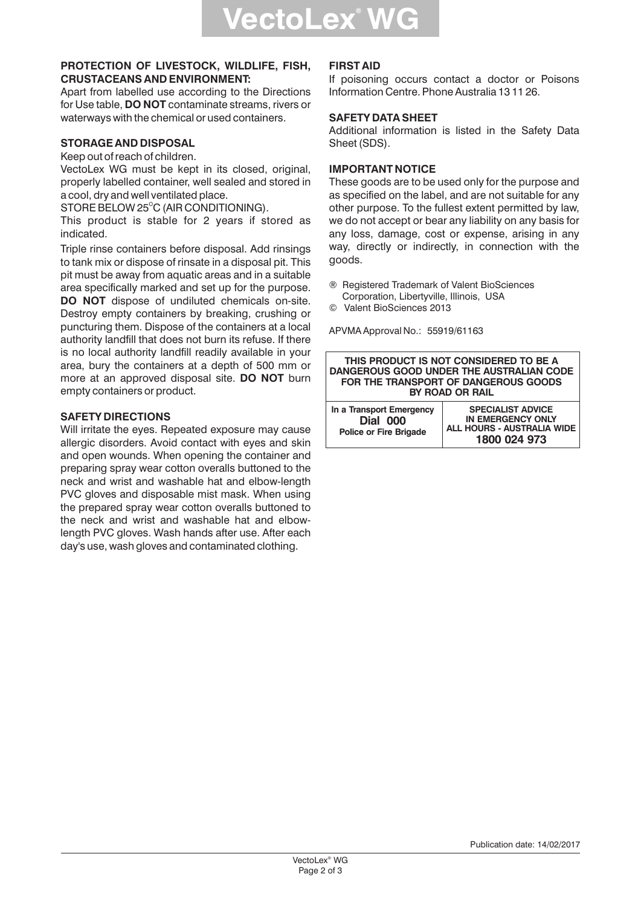#### **PROTECTION OF LIVESTOCK, WILDLIFE, FISH, CRUSTACEANS AND ENVIRONMENT:**

Apart from labelled use according to the Directions for Use table, **DO NOT** contaminate streams, rivers or waterways with the chemical or used containers.

## **STORAGE AND DISPOSAL**

Keep out of reach of children.

VectoLex WG must be kept in its closed, original, properly labelled container, well sealed and stored in a cool, dry and well ventilated place.

STORE BELOW 25 $^{\circ}$ C (AIR CONDITIONING).

This product is stable for 2 years if stored as indicated.

Triple rinse containers before disposal. Add rinsings to tank mix or dispose of rinsate in a disposal pit. This pit must be away from aquatic areas and in a suitable area specifically marked and set up for the purpose. **DO NOT** dispose of undiluted chemicals on-site. Destroy empty containers by breaking, crushing or puncturing them. Dispose of the containers at a local authority landfill that does not burn its refuse. If there is no local authority landfill readily available in your area, bury the containers at a depth of 500 mm or more at an approved disposal site. **DO NOT** burn empty containers or product.

## **SAFETY DIRECTIONS**

Will irritate the eyes. Repeated exposure may cause allergic disorders. Avoid contact with eyes and skin and open wounds. When opening the container and preparing spray wear cotton overalls buttoned to the neck and wrist and washable hat and elbow-length PVC gloves and disposable mist mask. When using the prepared spray wear cotton overalls buttoned to the neck and wrist and washable hat and elbowlength PVC gloves. Wash hands after use. After each day's use, wash gloves and contaminated clothing.

#### **FIRST AID**

If poisoning occurs contact a doctor or Poisons Information Centre. Phone Australia 13 11 26.

#### **SAFETY DATA SHEET**

Additional information is listed in the Safety Data Sheet (SDS).

## **IMPORTANT NOTICE**

These goods are to be used only for the purpose and as specified on the label, and are not suitable for any other purpose. To the fullest extent permitted by law, we do not accept or bear any liability on any basis for any loss, damage, cost or expense, arising in any way, directly or indirectly, in connection with the goods.

- ® Registered Trademark of Valent BioSciences Corporation, Libertyville, Illinois, USA
- © Valent BioSciences 2013

APVMA Approval No.: 55919/61163

| THIS PRODUCT IS NOT CONSIDERED TO BE A<br>DANGEROUS GOOD UNDER THE AUSTRALIAN CODE<br>FOR THE TRANSPORT OF DANGEROUS GOODS<br><b>BY ROAD OR RAIL</b> |                                                                                                    |  |  |
|------------------------------------------------------------------------------------------------------------------------------------------------------|----------------------------------------------------------------------------------------------------|--|--|
| In a Transport Emergency<br><b>Dial 000</b><br><b>Police or Fire Brigade</b>                                                                         | <b>SPECIALIST ADVICE</b><br><b>IN EMERGENCY ONLY</b><br>ALL HOURS - AUSTRALIA WIDE<br>1800 024 973 |  |  |